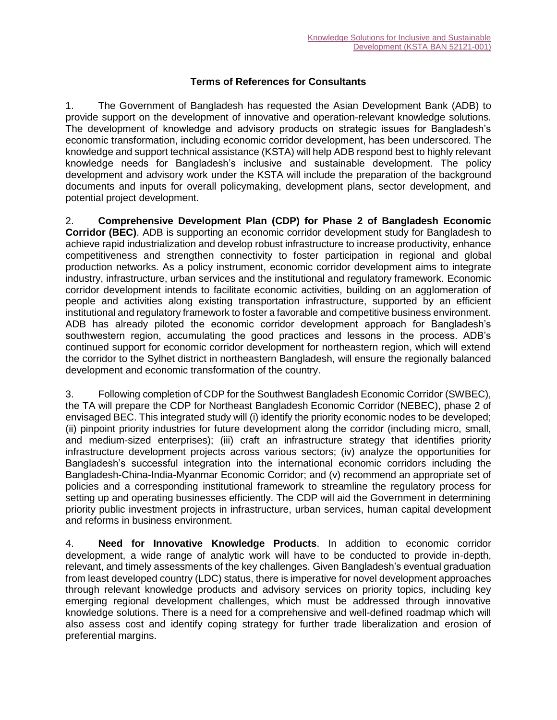## **Terms of References for Consultants**

1. The Government of Bangladesh has requested the Asian Development Bank (ADB) to provide support on the development of innovative and operation-relevant knowledge solutions. The development of knowledge and advisory products on strategic issues for Bangladesh's economic transformation, including economic corridor development, has been underscored. The knowledge and support technical assistance (KSTA) will help ADB respond best to highly relevant knowledge needs for Bangladesh's inclusive and sustainable development. The policy development and advisory work under the KSTA will include the preparation of the background documents and inputs for overall policymaking, development plans, sector development, and potential project development.

2. **Comprehensive Development Plan (CDP) for Phase 2 of Bangladesh Economic Corridor (BEC)**. ADB is supporting an economic corridor development study for Bangladesh to achieve rapid industrialization and develop robust infrastructure to increase productivity, enhance competitiveness and strengthen connectivity to foster participation in regional and global production networks. As a policy instrument, economic corridor development aims to integrate industry, infrastructure, urban services and the institutional and regulatory framework. Economic corridor development intends to facilitate economic activities, building on an agglomeration of people and activities along existing transportation infrastructure, supported by an efficient institutional and regulatory framework to foster a favorable and competitive business environment. ADB has already piloted the economic corridor development approach for Bangladesh's southwestern region, accumulating the good practices and lessons in the process. ADB's continued support for economic corridor development for northeastern region, which will extend the corridor to the Sylhet district in northeastern Bangladesh, will ensure the regionally balanced development and economic transformation of the country.

3. Following completion of CDP for the Southwest Bangladesh Economic Corridor (SWBEC), the TA will prepare the CDP for Northeast Bangladesh Economic Corridor (NEBEC), phase 2 of envisaged BEC. This integrated study will (i) identify the priority economic nodes to be developed; (ii) pinpoint priority industries for future development along the corridor (including micro, small, and medium-sized enterprises); (iii) craft an infrastructure strategy that identifies priority infrastructure development projects across various sectors; (iv) analyze the opportunities for Bangladesh's successful integration into the international economic corridors including the Bangladesh-China-India-Myanmar Economic Corridor; and (v) recommend an appropriate set of policies and a corresponding institutional framework to streamline the regulatory process for setting up and operating businesses efficiently. The CDP will aid the Government in determining priority public investment projects in infrastructure, urban services, human capital development and reforms in business environment.

4. **Need for Innovative Knowledge Products**. In addition to economic corridor development, a wide range of analytic work will have to be conducted to provide in-depth, relevant, and timely assessments of the key challenges. Given Bangladesh's eventual graduation from least developed country (LDC) status, there is imperative for novel development approaches through relevant knowledge products and advisory services on priority topics, including key emerging regional development challenges, which must be addressed through innovative knowledge solutions. There is a need for a comprehensive and well-defined roadmap which will also assess cost and identify coping strategy for further trade liberalization and erosion of preferential margins.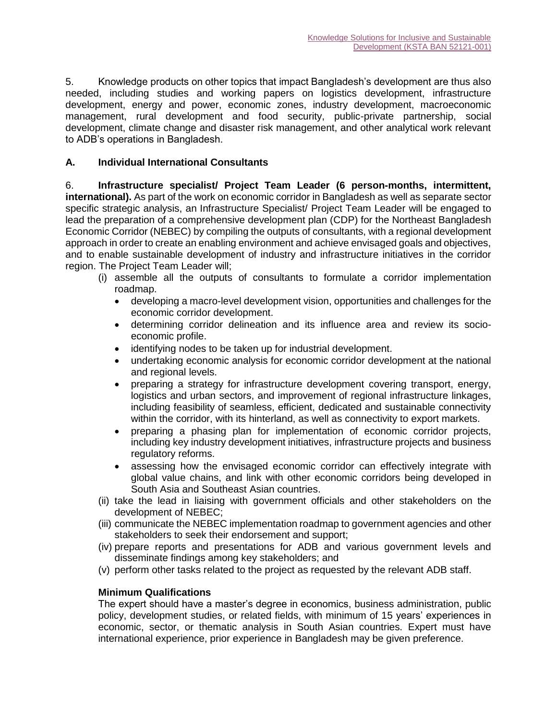5. Knowledge products on other topics that impact Bangladesh's development are thus also needed, including studies and working papers on logistics development, infrastructure development, energy and power, economic zones, industry development, macroeconomic management, rural development and food security, public-private partnership, social development, climate change and disaster risk management, and other analytical work relevant to ADB's operations in Bangladesh.

# **A. Individual International Consultants**

6. **Infrastructure specialist/ Project Team Leader (6 person-months, intermittent, international).** As part of the work on economic corridor in Bangladesh as well as separate sector specific strategic analysis, an Infrastructure Specialist/ Project Team Leader will be engaged to lead the preparation of a comprehensive development plan (CDP) for the Northeast Bangladesh Economic Corridor (NEBEC) by compiling the outputs of consultants, with a regional development approach in order to create an enabling environment and achieve envisaged goals and objectives, and to enable sustainable development of industry and infrastructure initiatives in the corridor region. The Project Team Leader will;

- (i) assemble all the outputs of consultants to formulate a corridor implementation roadmap.
	- developing a macro-level development vision, opportunities and challenges for the economic corridor development.
	- determining corridor delineation and its influence area and review its socioeconomic profile.
	- identifying nodes to be taken up for industrial development.
	- undertaking economic analysis for economic corridor development at the national and regional levels.
	- preparing a strategy for infrastructure development covering transport, energy, logistics and urban sectors, and improvement of regional infrastructure linkages, including feasibility of seamless, efficient, dedicated and sustainable connectivity within the corridor, with its hinterland, as well as connectivity to export markets.
	- preparing a phasing plan for implementation of economic corridor projects, including key industry development initiatives, infrastructure projects and business regulatory reforms.
	- assessing how the envisaged economic corridor can effectively integrate with global value chains, and link with other economic corridors being developed in South Asia and Southeast Asian countries.
- (ii) take the lead in liaising with government officials and other stakeholders on the development of NEBEC;
- (iii) communicate the NEBEC implementation roadmap to government agencies and other stakeholders to seek their endorsement and support;
- (iv) prepare reports and presentations for ADB and various government levels and disseminate findings among key stakeholders; and
- (v) perform other tasks related to the project as requested by the relevant ADB staff.

# **Minimum Qualifications**

The expert should have a master's degree in economics, business administration, public policy, development studies, or related fields, with minimum of 15 years' experiences in economic, sector, or thematic analysis in South Asian countries. Expert must have international experience, prior experience in Bangladesh may be given preference.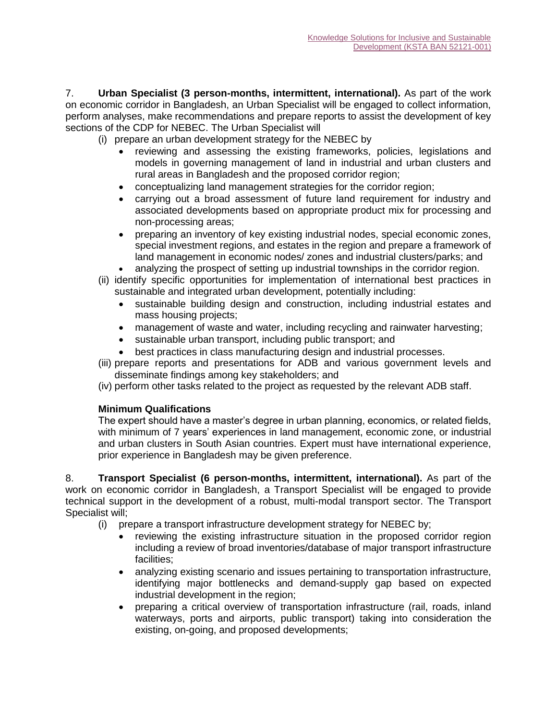7. **Urban Specialist (3 person-months, intermittent, international).** As part of the work on economic corridor in Bangladesh, an Urban Specialist will be engaged to collect information, perform analyses, make recommendations and prepare reports to assist the development of key sections of the CDP for NEBEC. The Urban Specialist will

- (i) prepare an urban development strategy for the NEBEC by
	- reviewing and assessing the existing frameworks, policies, legislations and models in governing management of land in industrial and urban clusters and rural areas in Bangladesh and the proposed corridor region;
	- conceptualizing land management strategies for the corridor region;
	- carrying out a broad assessment of future land requirement for industry and associated developments based on appropriate product mix for processing and non-processing areas;
	- preparing an inventory of key existing industrial nodes, special economic zones, special investment regions, and estates in the region and prepare a framework of land management in economic nodes/ zones and industrial clusters/parks; and
	- analyzing the prospect of setting up industrial townships in the corridor region.
- (ii) identify specific opportunities for implementation of international best practices in sustainable and integrated urban development, potentially including:
	- sustainable building design and construction, including industrial estates and mass housing projects;
	- management of waste and water, including recycling and rainwater harvesting;
	- sustainable urban transport, including public transport; and
	- best practices in class manufacturing design and industrial processes.
- (iii) prepare reports and presentations for ADB and various government levels and disseminate findings among key stakeholders; and
- (iv) perform other tasks related to the project as requested by the relevant ADB staff.

## **Minimum Qualifications**

The expert should have a master's degree in urban planning, economics, or related fields, with minimum of 7 years' experiences in land management, economic zone, or industrial and urban clusters in South Asian countries. Expert must have international experience, prior experience in Bangladesh may be given preference.

8. **Transport Specialist (6 person-months, intermittent, international).** As part of the work on economic corridor in Bangladesh, a Transport Specialist will be engaged to provide technical support in the development of a robust, multi-modal transport sector. The Transport Specialist will;

- (i) prepare a transport infrastructure development strategy for NEBEC by;
	- reviewing the existing infrastructure situation in the proposed corridor region including a review of broad inventories/database of major transport infrastructure facilities;
	- analyzing existing scenario and issues pertaining to transportation infrastructure, identifying major bottlenecks and demand-supply gap based on expected industrial development in the region;
	- preparing a critical overview of transportation infrastructure (rail, roads, inland waterways, ports and airports, public transport) taking into consideration the existing, on-going, and proposed developments;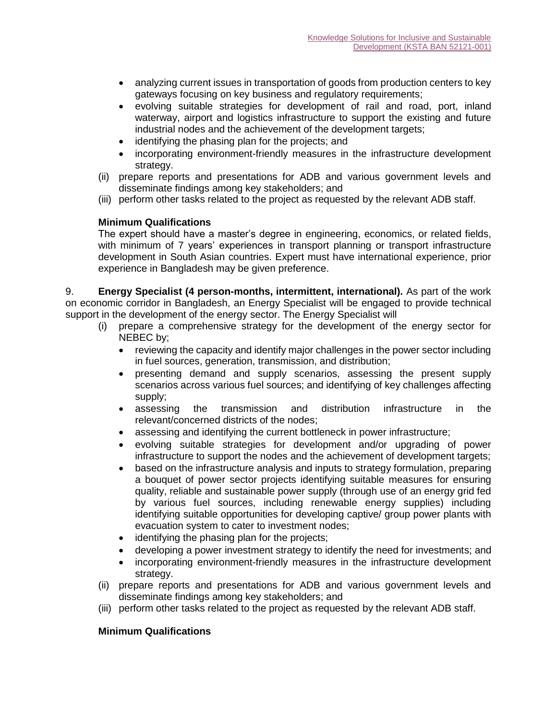- analyzing current issues in transportation of goods from production centers to key gateways focusing on key business and regulatory requirements;
- evolving suitable strategies for development of rail and road, port, inland waterway, airport and logistics infrastructure to support the existing and future industrial nodes and the achievement of the development targets;
- identifying the phasing plan for the projects; and
- incorporating environment-friendly measures in the infrastructure development strategy.
- (ii) prepare reports and presentations for ADB and various government levels and disseminate findings among key stakeholders; and
- (iii) perform other tasks related to the project as requested by the relevant ADB staff.

The expert should have a master's degree in engineering, economics, or related fields, with minimum of 7 years' experiences in transport planning or transport infrastructure development in South Asian countries. Expert must have international experience, prior experience in Bangladesh may be given preference.

9. **Energy Specialist (4 person-months, intermittent, international).** As part of the work on economic corridor in Bangladesh, an Energy Specialist will be engaged to provide technical support in the development of the energy sector. The Energy Specialist will

- (i) prepare a comprehensive strategy for the development of the energy sector for NEBEC by;
	- reviewing the capacity and identify major challenges in the power sector including in fuel sources, generation, transmission, and distribution;
	- presenting demand and supply scenarios, assessing the present supply scenarios across various fuel sources; and identifying of key challenges affecting supply;
	- assessing the transmission and distribution infrastructure in the relevant/concerned districts of the nodes;
	- assessing and identifying the current bottleneck in power infrastructure;
	- evolving suitable strategies for development and/or upgrading of power infrastructure to support the nodes and the achievement of development targets;
	- based on the infrastructure analysis and inputs to strategy formulation, preparing a bouquet of power sector projects identifying suitable measures for ensuring quality, reliable and sustainable power supply (through use of an energy grid fed by various fuel sources, including renewable energy supplies) including identifying suitable opportunities for developing captive/ group power plants with evacuation system to cater to investment nodes;
	- identifying the phasing plan for the projects;
	- developing a power investment strategy to identify the need for investments; and
	- incorporating environment-friendly measures in the infrastructure development strategy.
- (ii) prepare reports and presentations for ADB and various government levels and disseminate findings among key stakeholders; and
- (iii) perform other tasks related to the project as requested by the relevant ADB staff.

#### **Minimum Qualifications**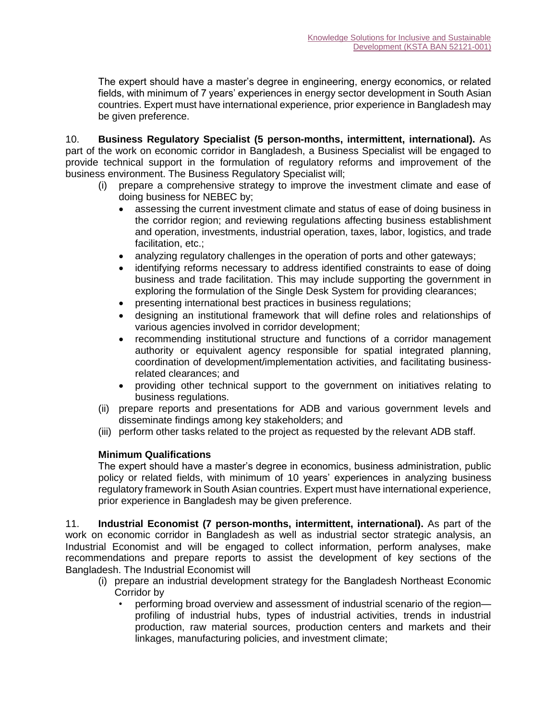The expert should have a master's degree in engineering, energy economics, or related fields, with minimum of 7 years' experiences in energy sector development in South Asian countries. Expert must have international experience, prior experience in Bangladesh may be given preference.

10. **Business Regulatory Specialist (5 person-months, intermittent, international).** As part of the work on economic corridor in Bangladesh, a Business Specialist will be engaged to provide technical support in the formulation of regulatory reforms and improvement of the business environment. The Business Regulatory Specialist will;

- (i) prepare a comprehensive strategy to improve the investment climate and ease of doing business for NEBEC by;
	- assessing the current investment climate and status of ease of doing business in the corridor region; and reviewing regulations affecting business establishment and operation, investments, industrial operation, taxes, labor, logistics, and trade facilitation, etc.;
	- analyzing regulatory challenges in the operation of ports and other gateways;
	- identifying reforms necessary to address identified constraints to ease of doing business and trade facilitation. This may include supporting the government in exploring the formulation of the Single Desk System for providing clearances;
	- presenting international best practices in business regulations;
	- designing an institutional framework that will define roles and relationships of various agencies involved in corridor development;
	- recommending institutional structure and functions of a corridor management authority or equivalent agency responsible for spatial integrated planning, coordination of development/implementation activities, and facilitating businessrelated clearances; and
	- providing other technical support to the government on initiatives relating to business regulations.
- (ii) prepare reports and presentations for ADB and various government levels and disseminate findings among key stakeholders; and
- (iii) perform other tasks related to the project as requested by the relevant ADB staff.

# **Minimum Qualifications**

The expert should have a master's degree in economics, business administration, public policy or related fields, with minimum of 10 years' experiences in analyzing business regulatory framework in South Asian countries. Expert must have international experience, prior experience in Bangladesh may be given preference.

11. **Industrial Economist (7 person-months, intermittent, international).** As part of the work on economic corridor in Bangladesh as well as industrial sector strategic analysis, an Industrial Economist and will be engaged to collect information, perform analyses, make recommendations and prepare reports to assist the development of key sections of the Bangladesh. The Industrial Economist will

- (i) prepare an industrial development strategy for the Bangladesh Northeast Economic Corridor by
	- performing broad overview and assessment of industrial scenario of the region profiling of industrial hubs, types of industrial activities, trends in industrial production, raw material sources, production centers and markets and their linkages, manufacturing policies, and investment climate;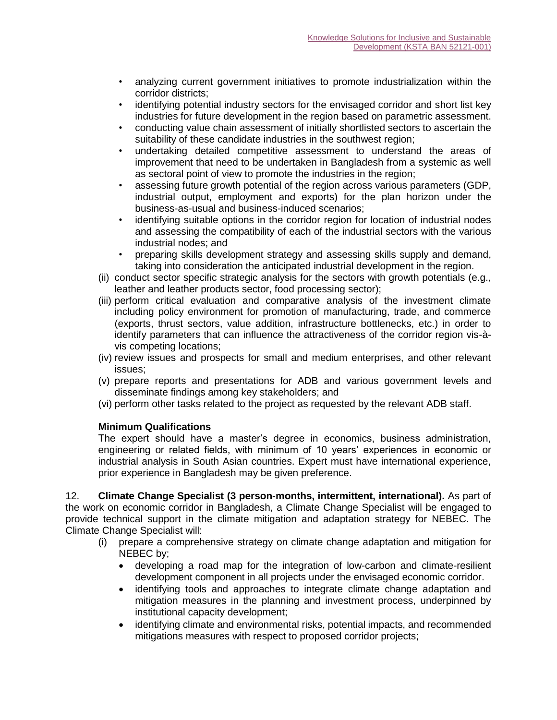- analyzing current government initiatives to promote industrialization within the corridor districts;
- identifying potential industry sectors for the envisaged corridor and short list key industries for future development in the region based on parametric assessment.
- conducting value chain assessment of initially shortlisted sectors to ascertain the suitability of these candidate industries in the southwest region;
- undertaking detailed competitive assessment to understand the areas of improvement that need to be undertaken in Bangladesh from a systemic as well as sectoral point of view to promote the industries in the region;
- assessing future growth potential of the region across various parameters (GDP, industrial output, employment and exports) for the plan horizon under the business-as-usual and business-induced scenarios;
- identifying suitable options in the corridor region for location of industrial nodes and assessing the compatibility of each of the industrial sectors with the various industrial nodes; and
- preparing skills development strategy and assessing skills supply and demand, taking into consideration the anticipated industrial development in the region.
- (ii) conduct sector specific strategic analysis for the sectors with growth potentials (e.g., leather and leather products sector, food processing sector);
- (iii) perform critical evaluation and comparative analysis of the investment climate including policy environment for promotion of manufacturing, trade, and commerce (exports, thrust sectors, value addition, infrastructure bottlenecks, etc.) in order to identify parameters that can influence the attractiveness of the corridor region vis-àvis competing locations;
- (iv) review issues and prospects for small and medium enterprises, and other relevant issues;
- (v) prepare reports and presentations for ADB and various government levels and disseminate findings among key stakeholders; and
- (vi) perform other tasks related to the project as requested by the relevant ADB staff.

The expert should have a master's degree in economics, business administration, engineering or related fields, with minimum of 10 years' experiences in economic or industrial analysis in South Asian countries. Expert must have international experience, prior experience in Bangladesh may be given preference.

12. **Climate Change Specialist (3 person-months, intermittent, international).** As part of the work on economic corridor in Bangladesh, a Climate Change Specialist will be engaged to provide technical support in the climate mitigation and adaptation strategy for NEBEC. The Climate Change Specialist will:

- (i) prepare a comprehensive strategy on climate change adaptation and mitigation for NEBEC by;
	- developing a road map for the integration of low-carbon and climate-resilient development component in all projects under the envisaged economic corridor.
	- identifying tools and approaches to integrate climate change adaptation and mitigation measures in the planning and investment process, underpinned by institutional capacity development;
	- identifying climate and environmental risks, potential impacts, and recommended mitigations measures with respect to proposed corridor projects;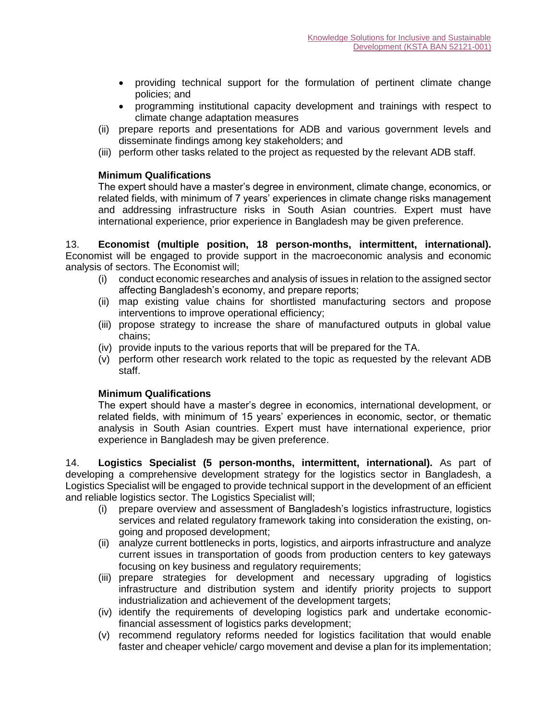- providing technical support for the formulation of pertinent climate change policies; and
- programming institutional capacity development and trainings with respect to climate change adaptation measures
- (ii) prepare reports and presentations for ADB and various government levels and disseminate findings among key stakeholders; and
- (iii) perform other tasks related to the project as requested by the relevant ADB staff.

The expert should have a master's degree in environment, climate change, economics, or related fields, with minimum of 7 years' experiences in climate change risks management and addressing infrastructure risks in South Asian countries. Expert must have international experience, prior experience in Bangladesh may be given preference.

13. **Economist (multiple position, 18 person-months, intermittent, international).**  Economist will be engaged to provide support in the macroeconomic analysis and economic analysis of sectors. The Economist will;

- (i) conduct economic researches and analysis of issues in relation to the assigned sector affecting Bangladesh's economy, and prepare reports;
- (ii) map existing value chains for shortlisted manufacturing sectors and propose interventions to improve operational efficiency;
- (iii) propose strategy to increase the share of manufactured outputs in global value chains;
- (iv) provide inputs to the various reports that will be prepared for the TA.
- (v) perform other research work related to the topic as requested by the relevant ADB staff.

## **Minimum Qualifications**

The expert should have a master's degree in economics, international development, or related fields, with minimum of 15 years' experiences in economic, sector, or thematic analysis in South Asian countries. Expert must have international experience, prior experience in Bangladesh may be given preference.

14. **Logistics Specialist (5 person-months, intermittent, international).** As part of developing a comprehensive development strategy for the logistics sector in Bangladesh, a Logistics Specialist will be engaged to provide technical support in the development of an efficient and reliable logistics sector. The Logistics Specialist will;

- (i) prepare overview and assessment of Bangladesh's logistics infrastructure, logistics services and related regulatory framework taking into consideration the existing, ongoing and proposed development;
- (ii) analyze current bottlenecks in ports, logistics, and airports infrastructure and analyze current issues in transportation of goods from production centers to key gateways focusing on key business and regulatory requirements;
- (iii) prepare strategies for development and necessary upgrading of logistics infrastructure and distribution system and identify priority projects to support industrialization and achievement of the development targets;
- (iv) identify the requirements of developing logistics park and undertake economicfinancial assessment of logistics parks development;
- (v) recommend regulatory reforms needed for logistics facilitation that would enable faster and cheaper vehicle/ cargo movement and devise a plan for its implementation;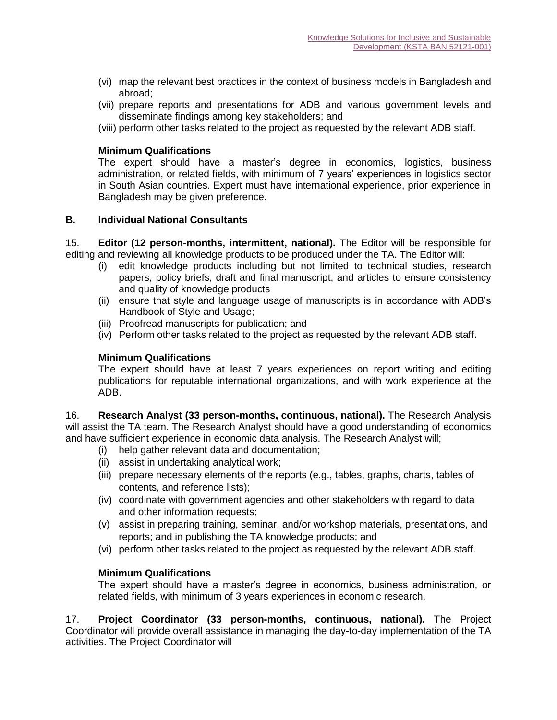- (vi) map the relevant best practices in the context of business models in Bangladesh and abroad;
- (vii) prepare reports and presentations for ADB and various government levels and disseminate findings among key stakeholders; and
- (viii) perform other tasks related to the project as requested by the relevant ADB staff.

The expert should have a master's degree in economics, logistics, business administration, or related fields, with minimum of 7 years' experiences in logistics sector in South Asian countries. Expert must have international experience, prior experience in Bangladesh may be given preference.

### **B. Individual National Consultants**

15. **Editor (12 person-months, intermittent, national).** The Editor will be responsible for editing and reviewing all knowledge products to be produced under the TA. The Editor will:

- (i) edit knowledge products including but not limited to technical studies, research papers, policy briefs, draft and final manuscript, and articles to ensure consistency and quality of knowledge products
- (ii) ensure that style and language usage of manuscripts is in accordance with ADB's Handbook of Style and Usage;
- (iii) Proofread manuscripts for publication; and
- (iv) Perform other tasks related to the project as requested by the relevant ADB staff.

### **Minimum Qualifications**

The expert should have at least 7 years experiences on report writing and editing publications for reputable international organizations, and with work experience at the ADB.

16. **Research Analyst (33 person-months, continuous, national).** The Research Analysis will assist the TA team. The Research Analyst should have a good understanding of economics and have sufficient experience in economic data analysis. The Research Analyst will;

- (i) help gather relevant data and documentation;
- (ii) assist in undertaking analytical work;
- (iii) prepare necessary elements of the reports (e.g., tables, graphs, charts, tables of contents, and reference lists);
- (iv) coordinate with government agencies and other stakeholders with regard to data and other information requests;
- (v) assist in preparing training, seminar, and/or workshop materials, presentations, and reports; and in publishing the TA knowledge products; and
- (vi) perform other tasks related to the project as requested by the relevant ADB staff.

#### **Minimum Qualifications**

The expert should have a master's degree in economics, business administration, or related fields, with minimum of 3 years experiences in economic research.

17. **Project Coordinator (33 person-months, continuous, national).** The Project Coordinator will provide overall assistance in managing the day-to-day implementation of the TA activities. The Project Coordinator will